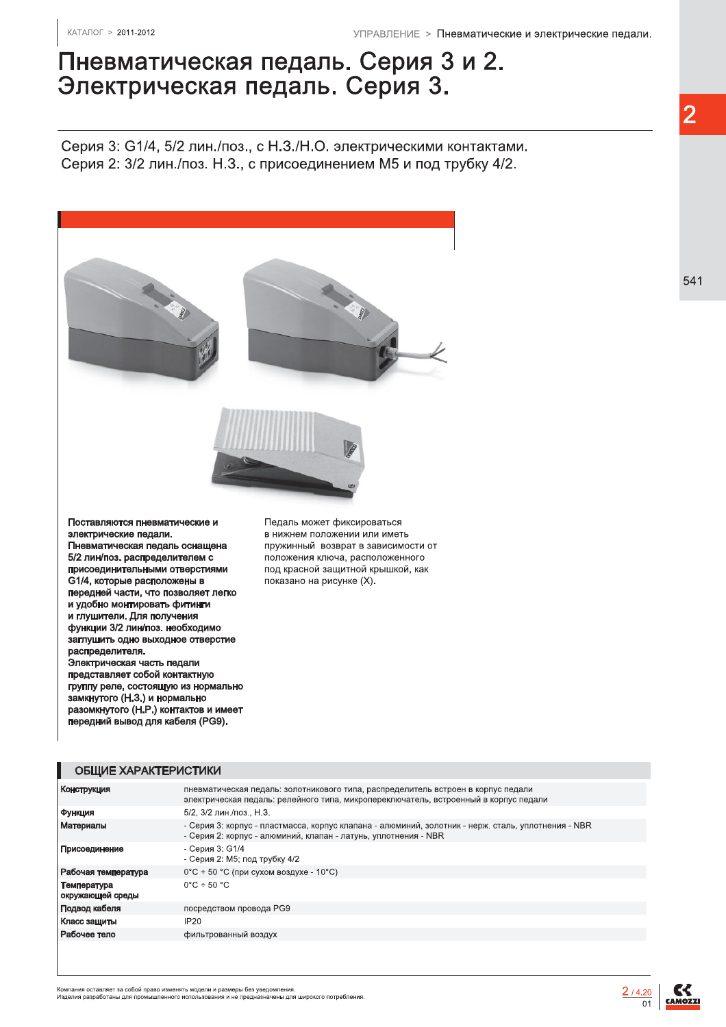## Пневматическая педаль. Серия 3 и 2. Электрическая педаль. Серия 3.

Серия 3: G1/4, 5/2 лин./поз., с Н.З./Н.О. электрическими контактами. Серия 2: 3/2 лин./поз. Н.З., с присоединением М5 и под трубку 4/2.



Поставляются пневматические и электрические педали. Пневматическая педаль оснащена 5/2 лин/поз. распределителем с присоединительными отверстиями G1/4, которые расположены в передней части, что позволяет легко и удобно монтировать фитинги и глушители. Для получения функции 3/2 лин/поз. необходимо заглушить одно выходное отверстие распределителя. Электрическая часть педали представляет собой контактную группу реле, состоящую из нормально замкнутого (Н.З.) и нормально разомкнутого (Н.Р.) контактов и имеет передний вывод для кабеля (PG9).

Педаль может фиксироваться в нижнем положении или иметь пружинный возврат в зависимости от положения ключа, расположенного под красной защитной крышкой, как показано на рисунке (X).

| ОБШИЕ ХАРАКТЕРИСТИКИ |  |  |
|----------------------|--|--|
|                      |  |  |

| Конструкция                     | пневматическая педаль: золотникового типа, распределитель встроен в корпус педали<br>электрическая педаль: релейного типа, микропереключатель, встроенный в корпус педали |
|---------------------------------|---------------------------------------------------------------------------------------------------------------------------------------------------------------------------|
| Функция                         | 5/2, 3/2 лин./поз., Н.З.                                                                                                                                                  |
| Материалы                       | - Серия 3: корпус - пластмасса, корпус клапана - алюминий, золотник - нерж. сталь, уплотнения - NBR<br>- Серия 2: корпус - алюминий, клапан - латунь, уплотнения - NBR    |
| Присоединение                   | - Серия 3: G1/4<br>- Серия 2: М5; под трубку 4/2                                                                                                                          |
| Рабочая температура             | $0^{\circ}$ С ÷ 50 °С (при сухом воздухе - 10°С)                                                                                                                          |
| Температура<br>окружающей среды | $0^{\circ}$ C + 50 $^{\circ}$ C                                                                                                                                           |
| Подвод кабеля                   | посредством провода PG9                                                                                                                                                   |
| Класс защиты                    | IP20                                                                                                                                                                      |
| Рабочее тело                    | фильтрованный воздух                                                                                                                                                      |
|                                 |                                                                                                                                                                           |

 $\overline{2}$ 

.<br>Компания оставляет за собой право изменять модели и размеры без уведомления.<br>Изделия разработаны для промышленного использования и не предназначены для широкого потребления